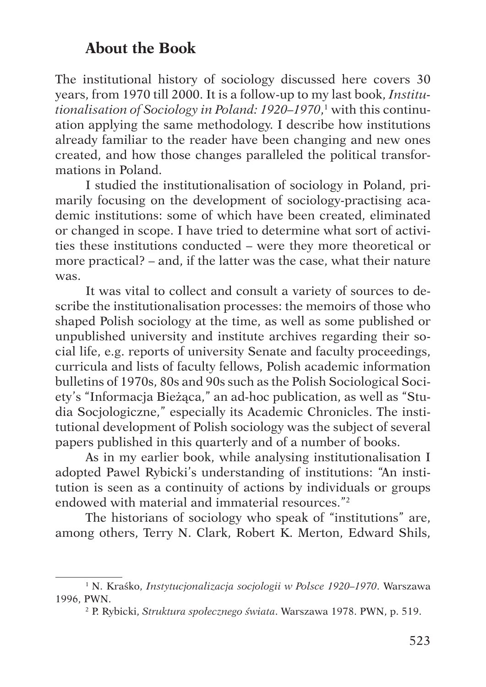## **About the Book**

The institutional history of sociology discussed here covers 30 years, from 1970 till 2000. It is a follow-up to my last book, *Institutionalisation of Sociology in Poland: 1920–1970*, 1 with this continuation applying the same methodology. I describe how institutions already familiar to the reader have been changing and new ones created, and how those changes paralleled the political transformations in Poland.

I studied the institutionalisation of sociology in Poland, primarily focusing on the development of sociology-practising academic institutions: some of which have been created, eliminated or changed in scope. I have tried to determine what sort of activities these institutions conducted – were they more theoretical or more practical? – and, if the latter was the case, what their nature was.

It was vital to collect and consult a variety of sources to describe the institutionalisation processes: the memoirs of those who shaped Polish sociology at the time, as well as some published or unpublished university and institute archives regarding their social life, e.g. reports of university Senate and faculty proceedings, curricula and lists of faculty fellows, Polish academic information bulletins of 1970s, 80s and 90s such as the Polish Sociological Society's "Informacja Bieżąca," an ad-hoc publication, as well as "Studia Socjologiczne," especially its Academic Chronicles. The institutional development of Polish sociology was the subject of several papers published in this quarterly and of a number of books.

As in my earlier book, while analysing institutionalisation I adopted Pawel Rybicki's understanding of institutions: "An institution is seen as a continuity of actions by individuals or groups endowed with material and immaterial resources."2

The historians of sociology who speak of "institutions" are, among others, Terry N. Clark, Robert K. Merton, Edward Shils,

<sup>1</sup> N. Kraśko, *Instytucjonalizacja socjologii w Polsce 1920–1970*. Warszawa 1996, PWN. 2 P. Rybicki, *Struktura społecznego świata*. Warszawa 1978. PWN, p. 519.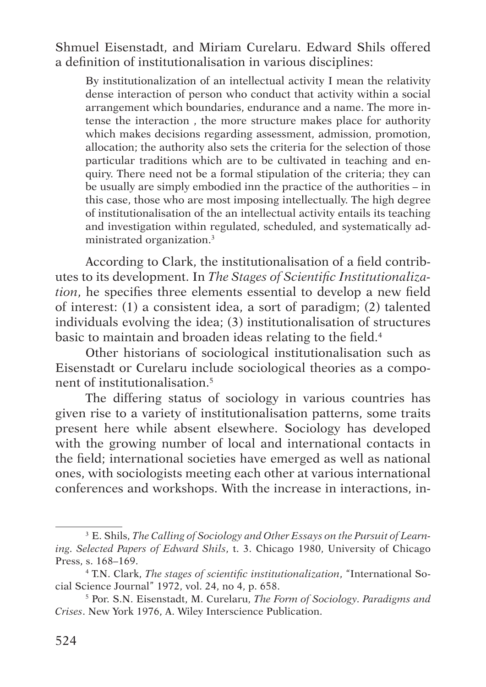Shmuel Eisenstadt, and Miriam Curelaru. Edward Shils offered a definition of institutionalisation in various disciplines:

By institutionalization of an intellectual activity I mean the relativity dense interaction of person who conduct that activity within a social arrangement which boundaries, endurance and a name. The more intense the interaction , the more structure makes place for authority which makes decisions regarding assessment, admission, promotion, allocation; the authority also sets the criteria for the selection of those particular traditions which are to be cultivated in teaching and enquiry. There need not be a formal stipulation of the criteria; they can be usually are simply embodied inn the practice of the authorities – in this case, those who are most imposing intellectually. The high degree of institutionalisation of the an intellectual activity entails its teaching and investigation within regulated, scheduled, and systematically administrated organization.3

According to Clark, the institutionalisation of a field contributes to its development. In *The Stages of Scientific Institutionalization*, he specifies three elements essential to develop a new field of interest: (1) a consistent idea, a sort of paradigm; (2) talented individuals evolving the idea; (3) institutionalisation of structures basic to maintain and broaden ideas relating to the field.4

Other historians of sociological institutionalisation such as Eisenstadt or Curelaru include sociological theories as a component of institutionalisation.5

The differing status of sociology in various countries has given rise to a variety of institutionalisation patterns, some traits present here while absent elsewhere. Sociology has developed with the growing number of local and international contacts in the field; international societies have emerged as well as national ones, with sociologists meeting each other at various international conferences and workshops. With the increase in interactions, in-

<sup>3</sup> E. Shils, *The Calling of Sociology and Other Essays on the Pursuit of Learning. Selected Papers of Edward Shils*, t. 3. Chicago 1980, University of Chicago Press, s. 168–169.

<sup>4</sup> T.N. Clark, *The stages of scientific institutionalization*, "International So-

<sup>&</sup>lt;sup>5</sup> Por. S.N. Eisenstadt, M. Curelaru, *The Form of Sociology. Paradigms and Crises*. New York 1976, A. Wiley Interscience Publication.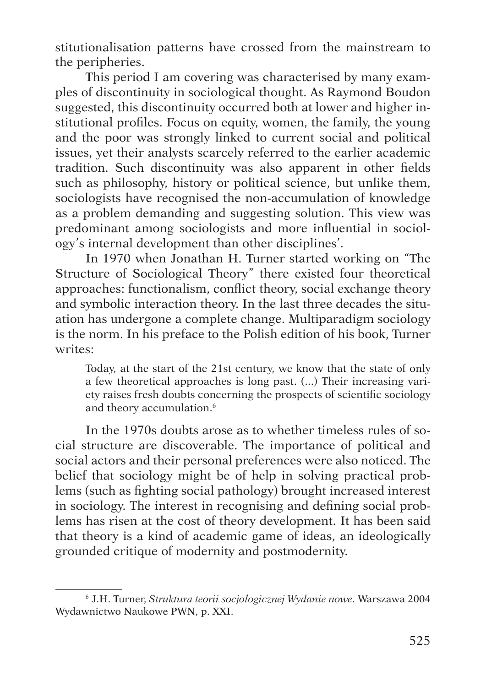stitutionalisation patterns have crossed from the mainstream to the peripheries.

This period I am covering was characterised by many examples of discontinuity in sociological thought. As Raymond Boudon suggested, this discontinuity occurred both at lower and higher institutional profiles. Focus on equity, women, the family, the young and the poor was strongly linked to current social and political issues, yet their analysts scarcely referred to the earlier academic tradition. Such discontinuity was also apparent in other fields such as philosophy, history or political science, but unlike them, sociologists have recognised the non-accumulation of knowledge as a problem demanding and suggesting solution. This view was predominant among sociologists and more influential in sociology's internal development than other disciplines'.

In 1970 when Jonathan H. Turner started working on "The Structure of Sociological Theory" there existed four theoretical approaches: functionalism, conflict theory, social exchange theory and symbolic interaction theory. In the last three decades the situation has undergone a complete change. Multiparadigm sociology is the norm. In his preface to the Polish edition of his book, Turner writes:

Today, at the start of the 21st century, we know that the state of only a few theoretical approaches is long past. (...) Their increasing variety raises fresh doubts concerning the prospects of scientific sociology and theory accumulation.<sup>6</sup>

In the 1970s doubts arose as to whether timeless rules of social structure are discoverable. The importance of political and social actors and their personal preferences were also noticed. The belief that sociology might be of help in solving practical problems (such as fighting social pathology) brought increased interest in sociology. The interest in recognising and defining social problems has risen at the cost of theory development. It has been said that theory is a kind of academic game of ideas, an ideologically grounded critique of modernity and postmodernity.

<sup>6</sup> J.H. Turner, *Struktura teorii socjologicznej Wydanie nowe*. Warszawa 2004 Wydawnictwo Naukowe PWN, p. XXI.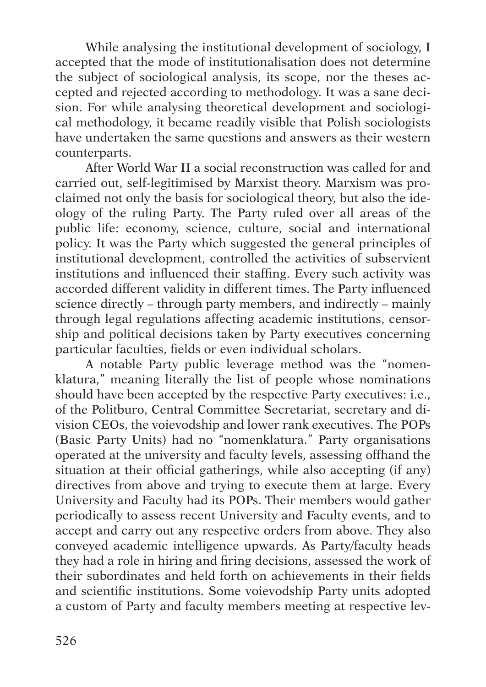While analysing the institutional development of sociology, I accepted that the mode of institutionalisation does not determine the subject of sociological analysis, its scope, nor the theses accepted and rejected according to methodology. It was a sane decision. For while analysing theoretical development and sociological methodology, it became readily visible that Polish sociologists have undertaken the same questions and answers as their western counterparts.

After World War II a social reconstruction was called for and carried out, self-legitimised by Marxist theory. Marxism was proclaimed not only the basis for sociological theory, but also the ideology of the ruling Party. The Party ruled over all areas of the public life: economy, science, culture, social and international policy. It was the Party which suggested the general principles of institutional development, controlled the activities of subservient institutions and influenced their staffing. Every such activity was accorded different validity in different times. The Party influenced science directly – through party members, and indirectly – mainly through legal regulations affecting academic institutions, censorship and political decisions taken by Party executives concerning particular faculties, fields or even individual scholars.

A notable Party public leverage method was the "nomenklatura," meaning literally the list of people whose nominations should have been accepted by the respective Party executives: i.e., of the Politburo, Central Committee Secretariat, secretary and division CEOs, the voievodship and lower rank executives. The POPs (Basic Party Units) had no "nomenklatura." Party organisations operated at the university and faculty levels, assessing offhand the situation at their official gatherings, while also accepting (if any) directives from above and trying to execute them at large. Every University and Faculty had its POPs. Their members would gather periodically to assess recent University and Faculty events, and to accept and carry out any respective orders from above. They also conveyed academic intelligence upwards. As Party/faculty heads they had a role in hiring and firing decisions, assessed the work of their subordinates and held forth on achievements in their fields and scientific institutions. Some voievodship Party units adopted a custom of Party and faculty members meeting at respective lev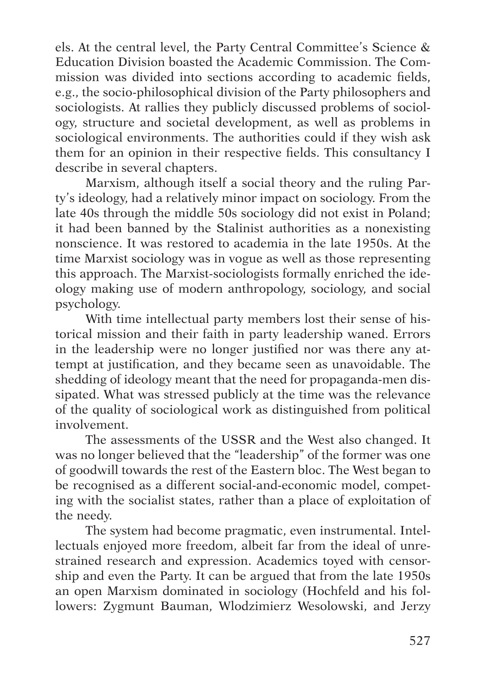els. At the central level, the Party Central Committee's Science & Education Division boasted the Academic Commission. The Commission was divided into sections according to academic fields, e.g., the socio-philosophical division of the Party philosophers and sociologists. At rallies they publicly discussed problems of sociology, structure and societal development, as well as problems in sociological environments. The authorities could if they wish ask them for an opinion in their respective fields. This consultancy I describe in several chapters.

Marxism, although itself a social theory and the ruling Party's ideology, had a relatively minor impact on sociology. From the late 40s through the middle 50s sociology did not exist in Poland; it had been banned by the Stalinist authorities as a nonexisting nonscience. It was restored to academia in the late 1950s. At the time Marxist sociology was in vogue as well as those representing this approach. The Marxist-sociologists formally enriched the ideology making use of modern anthropology, sociology, and social psychology.

With time intellectual party members lost their sense of historical mission and their faith in party leadership waned. Errors in the leadership were no longer justified nor was there any attempt at justification, and they became seen as unavoidable. The shedding of ideology meant that the need for propaganda-men dissipated. What was stressed publicly at the time was the relevance of the quality of sociological work as distinguished from political involvement.

The assessments of the USSR and the West also changed. It was no longer believed that the "leadership" of the former was one of goodwill towards the rest of the Eastern bloc. The West began to be recognised as a different social-and-economic model, competing with the socialist states, rather than a place of exploitation of the needy.

The system had become pragmatic, even instrumental. Intellectuals enjoyed more freedom, albeit far from the ideal of unrestrained research and expression. Academics toyed with censorship and even the Party. It can be argued that from the late 1950s an open Marxism dominated in sociology (Hochfeld and his followers: Zygmunt Bauman, Wlodzimierz Wesolowski, and Jerzy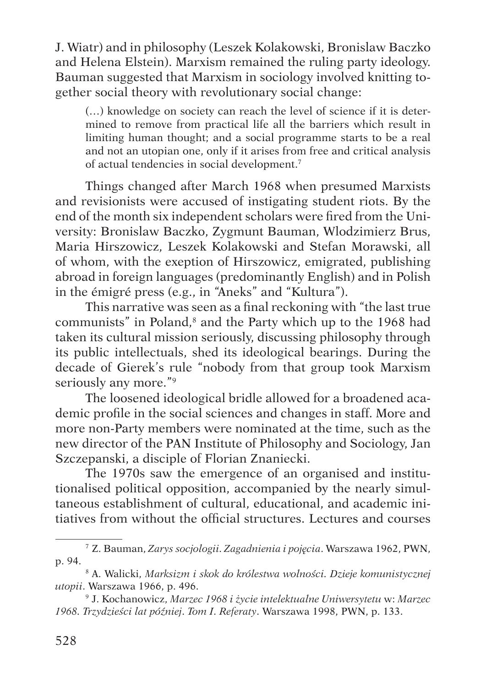J. Wiatr) and in philosophy (Leszek Kolakowski, Bronislaw Baczko and Helena Elstein). Marxism remained the ruling party ideology. Bauman suggested that Marxism in sociology involved knitting together social theory with revolutionary social change:

(…) knowledge on society can reach the level of science if it is determined to remove from practical life all the barriers which result in limiting human thought; and a social programme starts to be a real and not an utopian one, only if it arises from free and critical analysis of actual tendencies in social development.7

Things changed after March 1968 when presumed Marxists and revisionists were accused of instigating student riots. By the end of the month six independent scholars were fired from the University: Bronislaw Baczko, Zygmunt Bauman, Wlodzimierz Brus, Maria Hirszowicz, Leszek Kolakowski and Stefan Morawski, all of whom, with the exeption of Hirszowicz, emigrated, publishing abroad in foreign languages (predominantly English) and in Polish in the émigré press (e.g., in "Aneks" and "Kultura").

This narrative was seen as a final reckoning with "the last true communists" in Poland,<sup>8</sup> and the Party which up to the 1968 had taken its cultural mission seriously, discussing philosophy through its public intellectuals, shed its ideological bearings. During the decade of Gierek's rule "nobody from that group took Marxism seriously any more."9

The loosened ideological bridle allowed for a broadened academic profile in the social sciences and changes in staff. More and more non-Party members were nominated at the time, such as the new director of the PAN Institute of Philosophy and Sociology, Jan Szczepanski, a disciple of Florian Znaniecki.

The 1970s saw the emergence of an organised and institutionalised political opposition, accompanied by the nearly simultaneous establishment of cultural, educational, and academic initiatives from without the official structures. Lectures and courses

<sup>7</sup> Z. Bauman, *Zarys socjologii. Zagadnienia i pojęcia*. Warszawa 1962, PWN, p. 94. 8 A. Walicki, *Marksizm i skok do królestwa wolności. Dzieje komunistycznej* 

*utopii*. Warszawa 1966, p. 496.

<sup>9</sup> J. Kochanowicz, *Marzec 1968 i życie intelektualne Uniwersytetu* w: *Marzec 1968. Trzydzieści lat później*. *Tom I. Referaty*. Warszawa 1998, PWN, p. 133.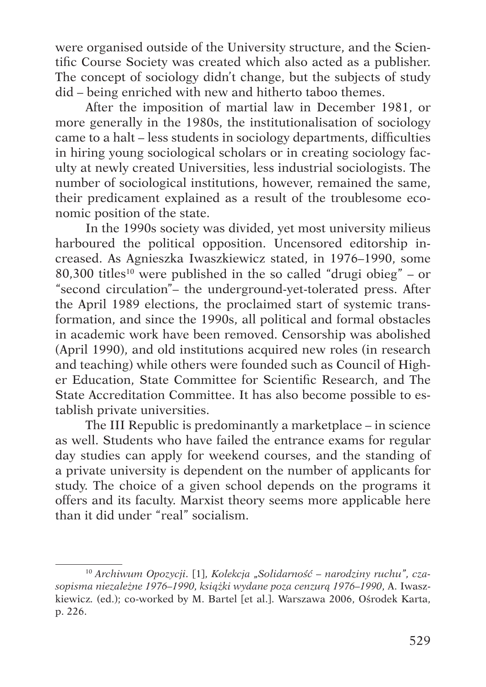were organised outside of the University structure, and the Scientific Course Society was created which also acted as a publisher. The concept of sociology didn't change, but the subjects of study did – being enriched with new and hitherto taboo themes.

After the imposition of martial law in December 1981, or more generally in the 1980s, the institutionalisation of sociology came to a halt – less students in sociology departments, difficulties in hiring young sociological scholars or in creating sociology faculty at newly created Universities, less industrial sociologists. The number of sociological institutions, however, remained the same, their predicament explained as a result of the troublesome economic position of the state.

In the 1990s society was divided, yet most university milieus harboured the political opposition. Uncensored editorship increased. As Agnieszka Iwaszkiewicz stated, in 1976–1990, some 80,300 titles<sup>10</sup> were published in the so called "drugi obieg" – or "second circulation"– the underground-yet-tolerated press. After the April 1989 elections, the proclaimed start of systemic transformation, and since the 1990s, all political and formal obstacles in academic work have been removed. Censorship was abolished (April 1990), and old institutions acquired new roles (in research and teaching) while others were founded such as Council of Higher Education, State Committee for Scientific Research, and The State Accreditation Committee. It has also become possible to establish private universities.

The III Republic is predominantly a marketplace – in science as well. Students who have failed the entrance exams for regular day studies can apply for weekend courses, and the standing of a private university is dependent on the number of applicants for study. The choice of a given school depends on the programs it offers and its faculty. Marxist theory seems more applicable here than it did under "real" socialism.

<sup>&</sup>lt;sup>10</sup> Archiwum Opozycji. [1], Kolekcja "Solidarność – narodziny ruchu", cza*sopisma niezależne 1976–1990, książki wydane poza cenzurą 1976–1990*, A. Iwaszkiewicz*.* (ed.); co-worked by M. Bartel [et al.]. Warszawa 2006, Ośrodek Karta, p. 226.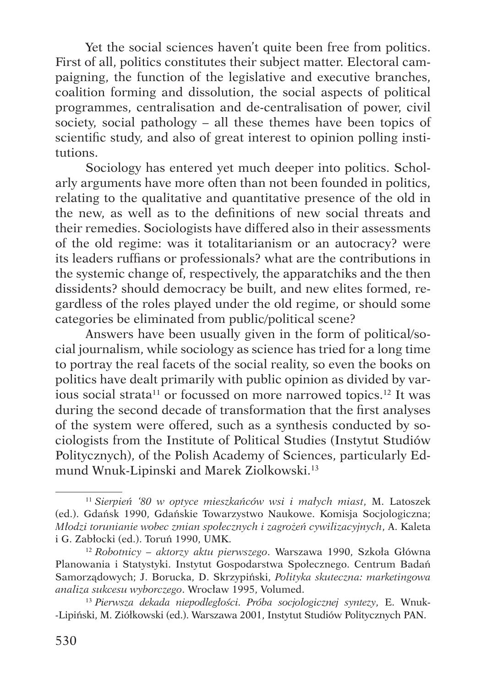Yet the social sciences haven't quite been free from politics. First of all, politics constitutes their subject matter. Electoral campaigning, the function of the legislative and executive branches, coalition forming and dissolution, the social aspects of political programmes, centralisation and de-centralisation of power, civil society, social pathology – all these themes have been topics of scientific study, and also of great interest to opinion polling institutions.

Sociology has entered yet much deeper into politics. Scholarly arguments have more often than not been founded in politics, relating to the qualitative and quantitative presence of the old in the new, as well as to the definitions of new social threats and their remedies. Sociologists have differed also in their assessments of the old regime: was it totalitarianism or an autocracy? were its leaders ruffians or professionals? what are the contributions in the systemic change of, respectively, the apparatchiks and the then dissidents? should democracy be built, and new elites formed, regardless of the roles played under the old regime, or should some categories be eliminated from public/political scene?

Answers have been usually given in the form of political/social journalism, while sociology as science has tried for a long time to portray the real facets of the social reality, so even the books on politics have dealt primarily with public opinion as divided by various social strata<sup>11</sup> or focussed on more narrowed topics.<sup>12</sup> It was during the second decade of transformation that the first analyses of the system were offered, such as a synthesis conducted by sociologists from the Institute of Political Studies (Instytut Studiów Politycznych), of the Polish Academy of Sciences, particularly Edmund Wnuk-Lipinski and Marek Ziolkowski.13

<sup>11</sup> *Sierpień '80 w optyce mieszkańców wsi i małych miast*, M. Latoszek (ed.). Gdańsk 1990, Gdańskie Towarzystwo Naukowe. Komisja Socjologiczna; *Młodzi torunianie wobec zmian społecznych i zagrożeń cywilizacyjnych*, A. Kaleta <sup>i</sup> G. Zabłocki (ed.). Toruń 1990, UMK. 12 *Robotnicy – aktorzy aktu pierwszego*. Warszawa 1990, Szkoła Główna

Planowania i Statystyki. Instytut Gospodarstwa Społecznego. Centrum Badań Samorządowych; J. Borucka, D. Skrzypiński, *Polityka skuteczna: marketingowa analiza sukcesu wyborczego*. Wrocław 1995, Volumed.

<sup>13</sup> *Pierwsza dekada niepodległości. Próba socjologicznej syntezy*, E. Wnuk-Lipiński, M. Ziółkowski (ed.). Warszawa 2001, Instytut Studiów Politycznych PAN.